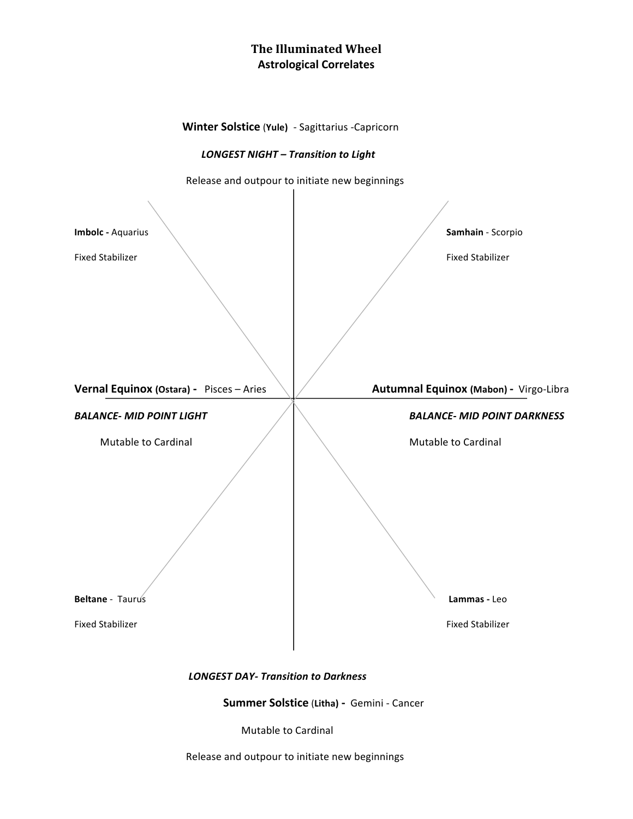## **The Illuminated Wheel Astrological Correlates**



Mutable to Cardinal

Release and outpour to initiate new beginnings